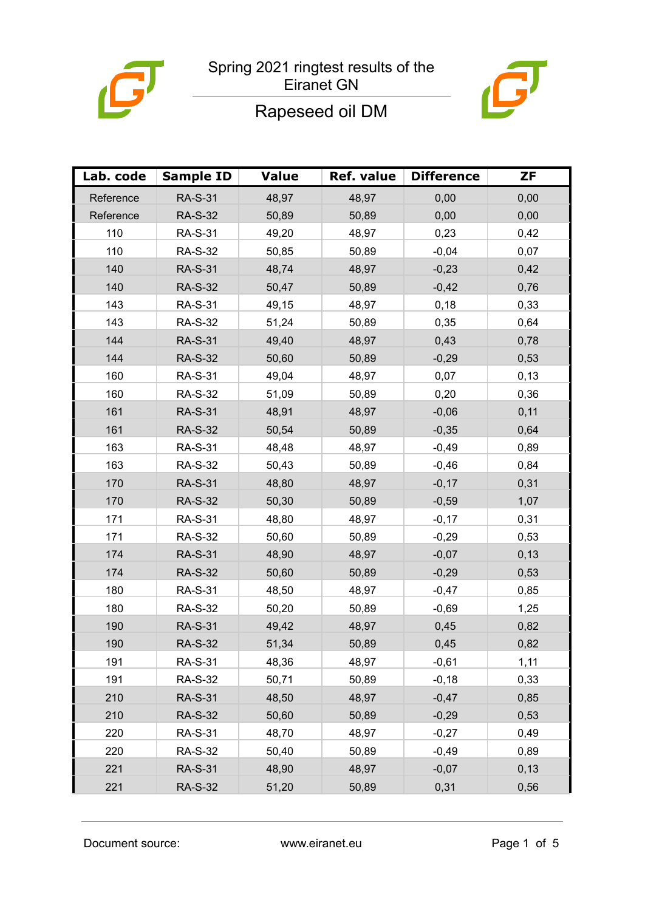



## Rapeseed oil DM

| Lab. code | <b>Sample ID</b> | <b>Value</b> | Ref. value | <b>Difference</b> | <b>ZF</b> |
|-----------|------------------|--------------|------------|-------------------|-----------|
| Reference | <b>RA-S-31</b>   | 48,97        | 48,97      | 0,00              | 0,00      |
| Reference | <b>RA-S-32</b>   | 50,89        | 50,89      | 0,00              | 0,00      |
| 110       | <b>RA-S-31</b>   | 49,20        | 48,97      | 0,23              | 0,42      |
| 110       | <b>RA-S-32</b>   | 50,85        | 50,89      | $-0,04$           | 0,07      |
| 140       | <b>RA-S-31</b>   | 48,74        | 48,97      | $-0,23$           | 0,42      |
| 140       | <b>RA-S-32</b>   | 50,47        | 50,89      | $-0,42$           | 0,76      |
| 143       | <b>RA-S-31</b>   | 49,15        | 48,97      | 0,18              | 0,33      |
| 143       | <b>RA-S-32</b>   | 51,24        | 50,89      | 0,35              | 0,64      |
| 144       | <b>RA-S-31</b>   | 49,40        | 48,97      | 0,43              | 0,78      |
| 144       | <b>RA-S-32</b>   | 50,60        | 50,89      | $-0,29$           | 0,53      |
| 160       | <b>RA-S-31</b>   | 49,04        | 48,97      | 0,07              | 0,13      |
| 160       | <b>RA-S-32</b>   | 51,09        | 50,89      | 0,20              | 0,36      |
| 161       | <b>RA-S-31</b>   | 48,91        | 48,97      | $-0,06$           | 0,11      |
| 161       | <b>RA-S-32</b>   | 50,54        | 50,89      | $-0,35$           | 0,64      |
| 163       | <b>RA-S-31</b>   | 48,48        | 48,97      | $-0,49$           | 0,89      |
| 163       | <b>RA-S-32</b>   | 50,43        | 50,89      | $-0,46$           | 0,84      |
| 170       | <b>RA-S-31</b>   | 48,80        | 48,97      | $-0,17$           | 0,31      |
| 170       | <b>RA-S-32</b>   | 50,30        | 50,89      | $-0,59$           | 1,07      |
| 171       | <b>RA-S-31</b>   | 48,80        | 48,97      | $-0,17$           | 0,31      |
| 171       | <b>RA-S-32</b>   | 50,60        | 50,89      | $-0,29$           | 0,53      |
| 174       | <b>RA-S-31</b>   | 48,90        | 48,97      | $-0,07$           | 0, 13     |
| 174       | <b>RA-S-32</b>   | 50,60        | 50,89      | $-0,29$           | 0,53      |
| 180       | <b>RA-S-31</b>   | 48,50        | 48,97      | $-0,47$           | 0,85      |
| 180       | <b>RA-S-32</b>   | 50,20        | 50,89      | $-0,69$           | 1,25      |
| 190       | <b>RA-S-31</b>   | 49,42        | 48,97      | 0,45              | 0,82      |
| 190       | <b>RA-S-32</b>   | 51,34        | 50,89      | 0,45              | 0,82      |
| 191       | <b>RA-S-31</b>   | 48,36        | 48,97      | $-0,61$           | 1,11      |
| 191       | <b>RA-S-32</b>   | 50,71        | 50,89      | $-0,18$           | 0,33      |
| 210       | <b>RA-S-31</b>   | 48,50        | 48,97      | $-0,47$           | 0,85      |
| 210       | <b>RA-S-32</b>   | 50,60        | 50,89      | $-0,29$           | 0,53      |
| 220       | <b>RA-S-31</b>   | 48,70        | 48,97      | $-0,27$           | 0,49      |
| 220       | <b>RA-S-32</b>   | 50,40        | 50,89      | $-0,49$           | 0,89      |
| 221       | <b>RA-S-31</b>   | 48,90        | 48,97      | $-0,07$           | 0,13      |
| 221       | <b>RA-S-32</b>   | 51,20        | 50,89      | 0,31              | 0,56      |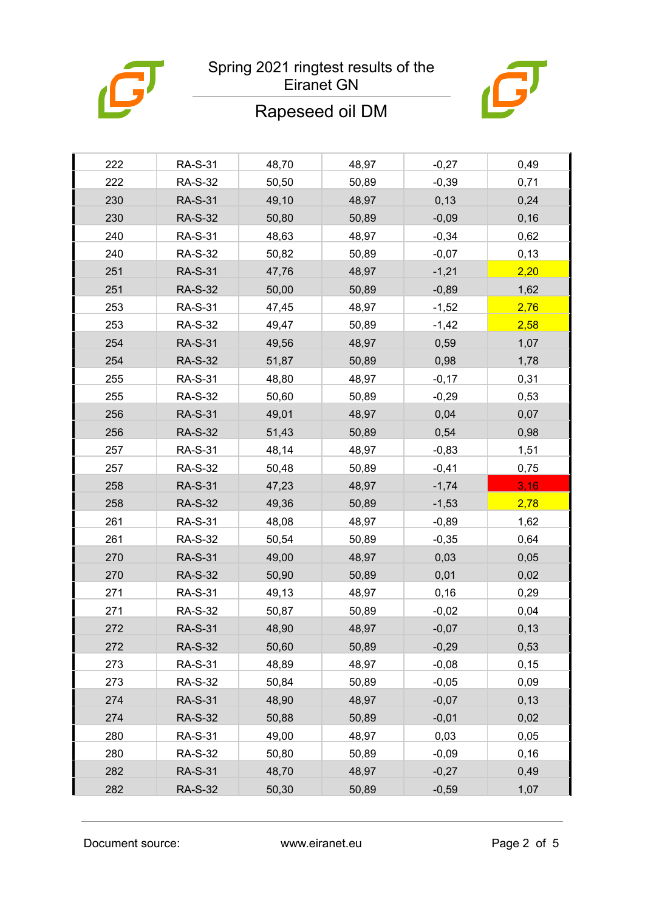

#### Spring 2021 ringtest results of the Eiranet GN



# Rapeseed oil DM

| 222 | <b>RA-S-31</b> | 48,70 | 48,97 | $-0,27$ | 0,49  |
|-----|----------------|-------|-------|---------|-------|
| 222 | <b>RA-S-32</b> | 50,50 | 50,89 | $-0,39$ | 0,71  |
| 230 | <b>RA-S-31</b> | 49,10 | 48,97 | 0,13    | 0,24  |
| 230 | <b>RA-S-32</b> | 50,80 | 50,89 | $-0,09$ | 0, 16 |
| 240 | <b>RA-S-31</b> | 48,63 | 48,97 | $-0,34$ | 0,62  |
| 240 | <b>RA-S-32</b> | 50,82 | 50,89 | $-0,07$ | 0,13  |
| 251 | <b>RA-S-31</b> | 47,76 | 48,97 | $-1,21$ | 2,20  |
| 251 | <b>RA-S-32</b> | 50,00 | 50,89 | $-0,89$ | 1,62  |
| 253 | <b>RA-S-31</b> | 47,45 | 48,97 | $-1,52$ | 2,76  |
| 253 | <b>RA-S-32</b> | 49,47 | 50,89 | $-1,42$ | 2,58  |
| 254 | <b>RA-S-31</b> | 49,56 | 48,97 | 0,59    | 1,07  |
| 254 | <b>RA-S-32</b> | 51,87 | 50,89 | 0,98    | 1,78  |
| 255 | <b>RA-S-31</b> | 48,80 | 48,97 | $-0,17$ | 0,31  |
| 255 | <b>RA-S-32</b> | 50,60 | 50,89 | $-0,29$ | 0,53  |
| 256 | <b>RA-S-31</b> | 49,01 | 48,97 | 0,04    | 0,07  |
| 256 | <b>RA-S-32</b> | 51,43 | 50,89 | 0,54    | 0,98  |
| 257 | <b>RA-S-31</b> | 48,14 | 48,97 | $-0,83$ | 1,51  |
| 257 | <b>RA-S-32</b> | 50,48 | 50,89 | $-0,41$ | 0,75  |
|     |                |       |       |         |       |
| 258 | <b>RA-S-31</b> | 47,23 | 48,97 | $-1,74$ | 3,16  |
| 258 | <b>RA-S-32</b> | 49,36 | 50,89 | $-1,53$ | 2,78  |
| 261 | <b>RA-S-31</b> | 48,08 | 48,97 | $-0,89$ | 1,62  |
| 261 | <b>RA-S-32</b> | 50,54 | 50,89 | $-0,35$ | 0,64  |
| 270 | <b>RA-S-31</b> | 49,00 | 48,97 | 0,03    | 0,05  |
| 270 | <b>RA-S-32</b> | 50,90 | 50,89 | 0,01    | 0,02  |
| 271 | <b>RA-S-31</b> | 49,13 | 48,97 | 0,16    | 0,29  |
| 271 | <b>RA-S-32</b> | 50,87 | 50,89 | $-0,02$ | 0,04  |
| 272 | <b>RA-S-31</b> | 48,90 | 48,97 | $-0,07$ | 0,13  |
| 272 | <b>RA-S-32</b> | 50,60 | 50,89 | $-0,29$ | 0,53  |
| 273 | <b>RA-S-31</b> | 48,89 | 48,97 | $-0,08$ | 0, 15 |
| 273 | <b>RA-S-32</b> | 50,84 | 50,89 | $-0,05$ | 0,09  |
| 274 | <b>RA-S-31</b> | 48,90 | 48,97 | $-0,07$ | 0,13  |
| 274 | <b>RA-S-32</b> | 50,88 | 50,89 | $-0,01$ | 0,02  |
| 280 | <b>RA-S-31</b> | 49,00 | 48,97 | 0,03    | 0,05  |
| 280 | <b>RA-S-32</b> | 50,80 | 50,89 | $-0,09$ | 0, 16 |
| 282 | <b>RA-S-31</b> | 48,70 | 48,97 | $-0,27$ | 0,49  |
| 282 | <b>RA-S-32</b> | 50,30 | 50,89 | $-0,59$ | 1,07  |

Document source: www.eiranet.eu Page 2 of 5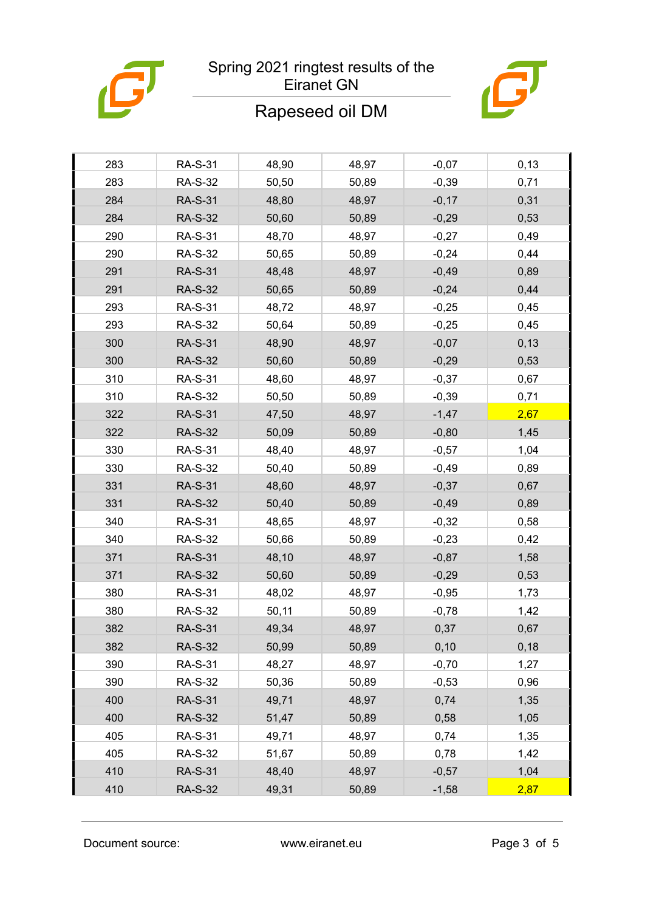

## Spring 2021 ringtest results of the Eiranet GN



# Rapeseed oil DM

| 283 | <b>RA-S-31</b> | 48,90 | 48,97 | $-0,07$ | 0, 13 |
|-----|----------------|-------|-------|---------|-------|
| 283 | <b>RA-S-32</b> | 50,50 | 50,89 | $-0,39$ | 0,71  |
| 284 | <b>RA-S-31</b> | 48,80 | 48,97 | $-0,17$ | 0,31  |
| 284 | <b>RA-S-32</b> | 50,60 | 50,89 | $-0,29$ | 0,53  |
| 290 | <b>RA-S-31</b> | 48,70 | 48,97 | $-0,27$ | 0,49  |
| 290 | <b>RA-S-32</b> | 50,65 | 50,89 | $-0,24$ | 0,44  |
| 291 | <b>RA-S-31</b> | 48,48 | 48,97 | $-0,49$ | 0,89  |
| 291 | <b>RA-S-32</b> | 50,65 | 50,89 | $-0,24$ | 0,44  |
| 293 | <b>RA-S-31</b> | 48,72 | 48,97 | $-0,25$ | 0,45  |
| 293 | <b>RA-S-32</b> | 50,64 | 50,89 | $-0,25$ | 0,45  |
| 300 | <b>RA-S-31</b> | 48,90 | 48,97 | $-0,07$ | 0, 13 |
| 300 | <b>RA-S-32</b> | 50,60 | 50,89 | $-0,29$ | 0,53  |
| 310 | <b>RA-S-31</b> | 48,60 | 48,97 | $-0,37$ | 0,67  |
| 310 | <b>RA-S-32</b> | 50,50 | 50,89 | $-0,39$ | 0,71  |
| 322 | <b>RA-S-31</b> | 47,50 | 48,97 | $-1,47$ | 2,67  |
| 322 | <b>RA-S-32</b> | 50,09 | 50,89 | $-0,80$ | 1,45  |
| 330 | <b>RA-S-31</b> | 48,40 | 48,97 | $-0,57$ | 1,04  |
| 330 | <b>RA-S-32</b> | 50,40 | 50,89 | $-0,49$ | 0,89  |
| 331 | <b>RA-S-31</b> | 48,60 | 48,97 | $-0,37$ | 0,67  |
| 331 | <b>RA-S-32</b> | 50,40 | 50,89 | $-0,49$ | 0,89  |
| 340 | <b>RA-S-31</b> | 48,65 | 48,97 | $-0,32$ | 0,58  |
| 340 | <b>RA-S-32</b> | 50,66 | 50,89 | $-0,23$ | 0,42  |
| 371 | <b>RA-S-31</b> | 48,10 | 48,97 | $-0,87$ | 1,58  |
| 371 | <b>RA-S-32</b> | 50,60 | 50,89 | $-0,29$ | 0,53  |
| 380 | <b>RA-S-31</b> | 48,02 | 48,97 | $-0,95$ | 1,73  |
| 380 | <b>RA-S-32</b> | 50,11 | 50,89 | $-0,78$ | 1,42  |
| 382 | <b>RA-S-31</b> | 49,34 | 48,97 | 0,37    | 0,67  |
| 382 | <b>RA-S-32</b> | 50,99 | 50,89 | 0, 10   | 0,18  |
| 390 | <b>RA-S-31</b> | 48,27 | 48,97 | $-0,70$ | 1,27  |
| 390 | <b>RA-S-32</b> | 50,36 | 50,89 | $-0,53$ | 0,96  |
| 400 | <b>RA-S-31</b> | 49,71 | 48,97 | 0,74    | 1,35  |
| 400 | <b>RA-S-32</b> | 51,47 | 50,89 | 0,58    | 1,05  |
| 405 | <b>RA-S-31</b> | 49,71 | 48,97 | 0,74    | 1,35  |
| 405 | <b>RA-S-32</b> | 51,67 | 50,89 | 0,78    | 1,42  |
| 410 | <b>RA-S-31</b> | 48,40 | 48,97 | $-0,57$ | 1,04  |
| 410 | <b>RA-S-32</b> | 49,31 | 50,89 | $-1,58$ | 2,87  |
|     |                |       |       |         |       |

Document source: www.eiranet.eu Page 3 of 5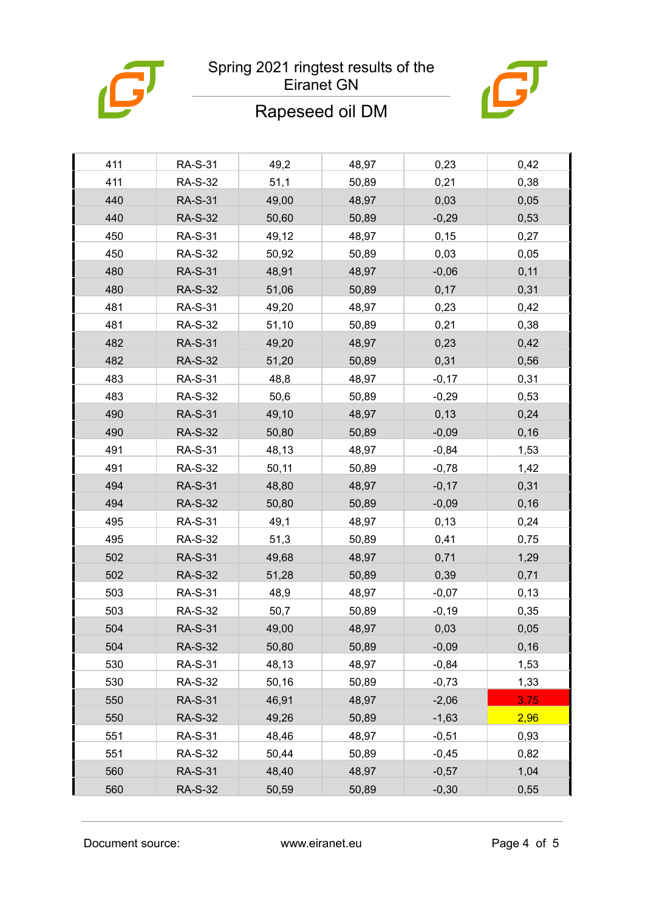

## Spring 2021 ringtest results of the Eiranet GN



## Rapeseed oil DM

| 411 | <b>RA-S-31</b> | 49,2  | 48,97 | 0,23    | 0,42  |
|-----|----------------|-------|-------|---------|-------|
| 411 | <b>RA-S-32</b> | 51,1  | 50,89 | 0,21    | 0,38  |
| 440 | <b>RA-S-31</b> | 49,00 | 48,97 | 0,03    | 0,05  |
| 440 | <b>RA-S-32</b> | 50,60 | 50,89 | $-0,29$ | 0,53  |
| 450 | <b>RA-S-31</b> | 49,12 | 48,97 | 0,15    | 0,27  |
| 450 | <b>RA-S-32</b> | 50,92 | 50,89 | 0,03    | 0,05  |
| 480 | <b>RA-S-31</b> | 48,91 | 48,97 | $-0,06$ | 0,11  |
| 480 | <b>RA-S-32</b> | 51,06 | 50,89 | 0,17    | 0,31  |
| 481 | <b>RA-S-31</b> | 49,20 | 48,97 | 0,23    | 0,42  |
| 481 | <b>RA-S-32</b> | 51,10 | 50,89 | 0,21    | 0,38  |
| 482 | <b>RA-S-31</b> | 49,20 | 48,97 | 0,23    | 0,42  |
| 482 | <b>RA-S-32</b> | 51,20 | 50,89 | 0,31    | 0,56  |
| 483 | <b>RA-S-31</b> | 48,8  | 48,97 | $-0,17$ | 0,31  |
| 483 | <b>RA-S-32</b> | 50,6  | 50,89 | $-0,29$ | 0,53  |
| 490 | <b>RA-S-31</b> | 49,10 | 48,97 | 0,13    | 0,24  |
| 490 | <b>RA-S-32</b> | 50,80 | 50,89 | $-0,09$ | 0, 16 |
| 491 | <b>RA-S-31</b> | 48,13 | 48,97 | $-0,84$ | 1,53  |
| 491 | <b>RA-S-32</b> | 50,11 | 50,89 | $-0,78$ | 1,42  |
| 494 | <b>RA-S-31</b> | 48,80 | 48,97 | $-0,17$ | 0,31  |
| 494 | <b>RA-S-32</b> | 50,80 | 50,89 | $-0,09$ | 0, 16 |
| 495 | <b>RA-S-31</b> | 49,1  | 48,97 | 0,13    | 0,24  |
| 495 | <b>RA-S-32</b> | 51,3  | 50,89 | 0,41    | 0,75  |
| 502 | <b>RA-S-31</b> | 49,68 | 48,97 | 0,71    | 1,29  |
| 502 | <b>RA-S-32</b> | 51,28 | 50,89 | 0,39    | 0,71  |
| 503 | <b>RA-S-31</b> | 48,9  | 48,97 | $-0,07$ | 0,13  |
| 503 | <b>RA-S-32</b> | 50,7  | 50,89 | $-0,19$ | 0,35  |
| 504 | <b>RA-S-31</b> | 49,00 | 48,97 | 0,03    | 0,05  |
| 504 | <b>RA-S-32</b> | 50,80 | 50,89 | $-0,09$ | 0,16  |
| 530 | <b>RA-S-31</b> | 48,13 | 48,97 | $-0,84$ | 1,53  |
| 530 | <b>RA-S-32</b> | 50,16 | 50,89 | $-0,73$ | 1,33  |
| 550 | <b>RA-S-31</b> | 46,91 | 48,97 | $-2,06$ | 3,75  |
| 550 | <b>RA-S-32</b> | 49,26 | 50,89 | $-1,63$ | 2,96  |
| 551 | <b>RA-S-31</b> | 48,46 | 48,97 | $-0,51$ | 0,93  |
| 551 | <b>RA-S-32</b> | 50,44 | 50,89 | $-0,45$ | 0,82  |
| 560 | <b>RA-S-31</b> | 48,40 | 48,97 | $-0,57$ | 1,04  |
| 560 | <b>RA-S-32</b> | 50,59 | 50,89 | $-0,30$ | 0,55  |

Document source: www.eiranet.eu Page 4 of 5